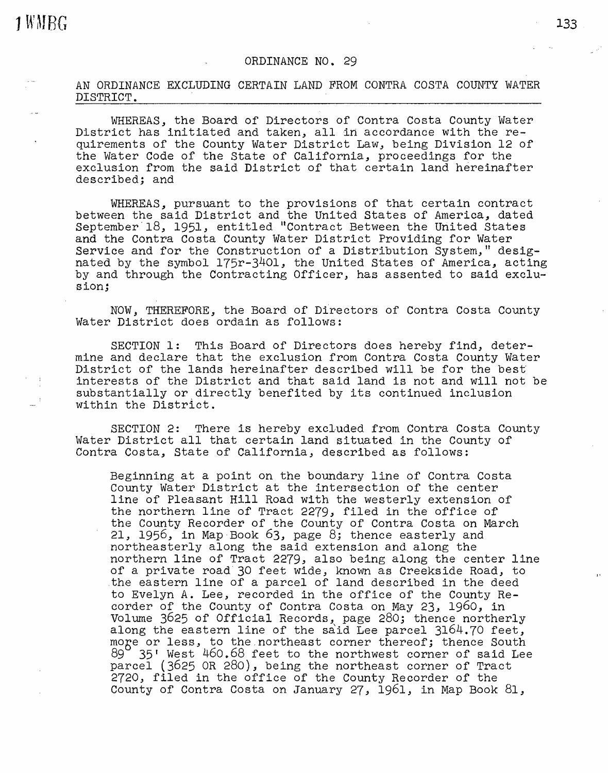## ORDINANCE NO. 29

AN ORDINANCE EXCLUDING CERTAIN LAND FROM CONTRA COSTA COUNTY WATER DISTRICT.

WHEREAS, the Board of Directors of Contra Costa County Water District has initiated and taken, all in accordance with the requirements of the County Water District Law, being Division 12 of the Water Code of the State of California, proceedings for the exclusion from the said District of that certain land hereinafter described; and

WHEREAS, pursuant to the provisions of that certain contract between the said District and the United States of America, dated September<sup>18</sup>, 1951, entitled "Contract Between the United States and the Contra Costa County Water District Providing for Water Service and for the Construction of a Distribution System," designated by the symbol 175r-3401, the United States of America, acting by and through the Contracting Officer, has assented to said exclusion;

NOW, THEREFORE, the Board of Directors of Contra Costa County Water District does ordain as follows:

SECTION 1: This Board of Directors does hereby find, determine and declare that the exclusion from Contra Costa County Water District of the lands hereinafter described will be for the best interests of the District and that said land is not and will not be substantially or directly benefited by its continued inclusion within the District.

SECTION 2: There is hereby excluded from Contra Costa County Water District all that certain land situated in the County of Contra Costa, State of California, described as follows:

Beginning at a point on the boundary line of Contra Costa County Water District at the intersection of the center line of Pleasant Hill Road with the westerly extension of the northern line of Tract 2279, filed in the office of the County Recorder of the County of Contra Costa on March 21, 1956, in Map Book  $63$ , page  $8$ ; thence easterly and northeasterly along the said extension and along the northern line of Tract 2279, also being along the center line of a private road 30 feet wide, known as Creekside Road, to .the eastern line of a parcel of land described in the deed to Evelyn A. Lee, recorded in the office of the County Recorder of the County of Contra Costa on May 23, 1960, in Volume 3625 of Official Records, page 280; thence northerly along the eastern line of the said Lee parcel 3164.70 feet, more or less, to the northeast corner thereof; thence South 89 35' West 460.68 feet to the northwest corner of said Lee  $35'$  West 460.68 feet to the northwest corner of said Lee parcel (3625 OR 280), being the northeast corner of Tract 2720, filed in the office of the County Recorder of the County of Contra Costa on January 27, 1961, in Map Book 81,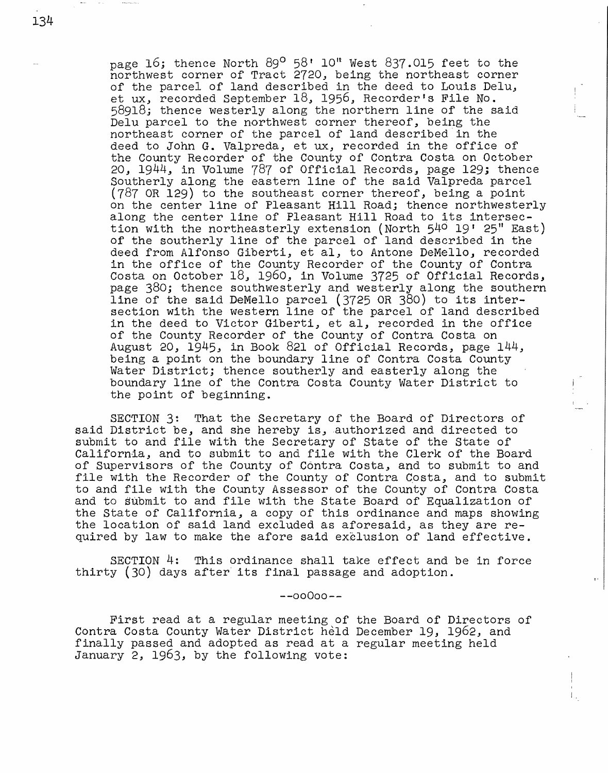page 16; thence North  $89^{\circ}$  58' 10" West  $837.015$  feet to the northwest corner of Tract 2720, being the northeast corner of the parcel of land described in the deed to Louis Delu, et ux, recorded September 18, 1956, Recorder's File No. 58918; thence westerly along the northern line of the said Delu parcel to the northwest corner thereof, being the northeast corner of the parcel of land described-in the deed to John G. Valpreda, et ux, recorded in the office of the County Recorder of the County of Contra Costa on October 20; 1944, in Volume 787 of Official Records, page 129; thence Southerly along the eastern line of the said Valpreda parcel (787 OR 129) to the southeast corner thereof, being a point on the center line of Pleasant Hill Road; thence northwesterly along the center line of Pleasant Hill Road to its intersection with the northeasterly extension (North  $540$  19' 25" East) of the southerly line of the parcel of land described in the deed from Alfonso Giberti, et al, to Antone DeMello, recorded in the office of the County Recorder of the County of Contra Costa on October 18, 1960, in Volume 3725 of Official Records, page 380; thence southwesterly and westerly along the southern line of the said DeMello parcel (3725 OR 380) to its intersection with the western line of the parcel of land described in the deed to Victor Giberti, et al, recorded in the office of the County Recorder of the County of Contra Costa on August 20, 1945, in Book 821 of Official Records, page 144, being a point on the boundary line of Contra Costa County Water District; thence southerly and easterly along the boundary line of the Contra Costa County Water District to the point of beginning.

SECTION 3: That the Secretary of the Board of Directors of said District be, and she hereby is, authorized and directed to submit to and file with the Secretary of State of the State of California, and to submit to and file with the Clerk of the Board of Supervisors of the County of Contra Costa, and to submit to and file with the Recorder of the County of Contra Costa, and to submit to and file with the County Assessor of the County of Contra Costa and to submit to and file with the State Board of Equalization of the State of California, a copy of this ordinance and maps showing the location of said land excluded as aforesaid, as they are required by law to make the afore said exclusion of land effective.

SECTION 4: This ordinance shall take effect and be in force thirty (30) days after its final passage and adoption.

**--00O00--**

First read at a regular meeting of the Board of Directors of Contra Costa County Water District held December 19, 1962, and finally passed and adopted as read at a regular meeting held January 2, 1963, by the following vote: